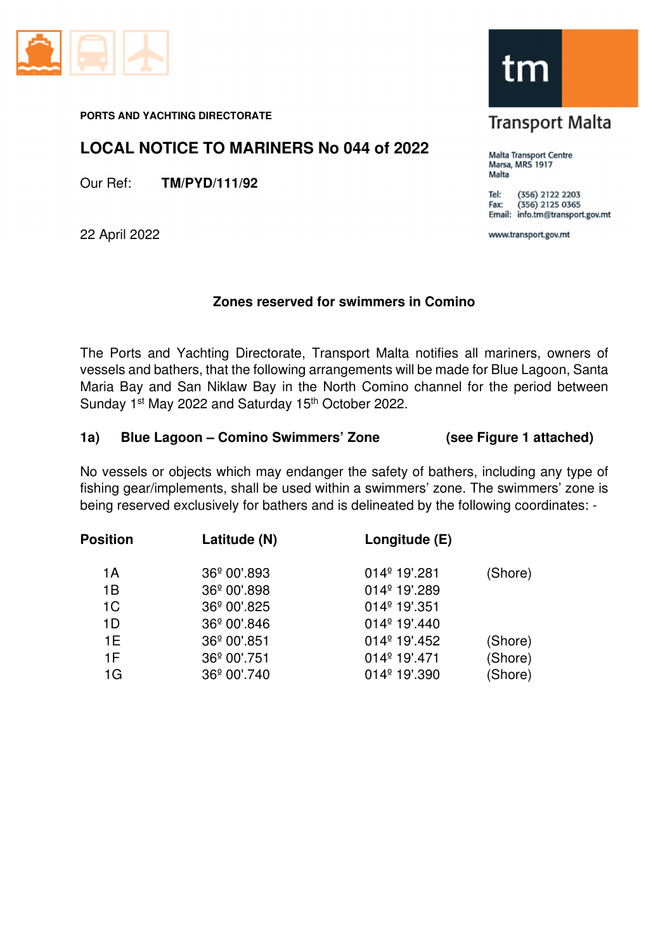

#### **PORTS AND YACHTING DIRECTORATE**

## **LOCAL NOTICE TO MARINERS No 044 of 2022**

Our Ref: **TM/PYD/111/92**

22 April 2022

## **Zones reserved for swimmers in Comino**

The Ports and Yachting Directorate, Transport Malta notifies all mariners, owners of vessels and bathers, that the following arrangements will be made for Blue Lagoon, Santa Maria Bay and San Niklaw Bay in the North Comino channel for the period between Sunday 1<sup>st</sup> May 2022 and Saturday 15<sup>th</sup> October 2022.

### **1a) Blue Lagoon – Comino Swimmers' Zone (see Figure 1 attached)**

No vessels or objects which may endanger the safety of bathers, including any type of fishing gear/implements, shall be used within a swimmers' zone. The swimmers' zone is being reserved exclusively for bathers and is delineated by the following coordinates: -

| <b>Position</b> | Latitude (N)            | Longitude (E)            |         |
|-----------------|-------------------------|--------------------------|---------|
| 1A              | 36 <sup>°</sup> 00'.893 | 014 <sup>°</sup> 19'.281 | (Shore) |
| 1B              | 36 <sup>°</sup> 00'.898 | 014 <sup>°</sup> 19'.289 |         |
| 1 <sup>C</sup>  | 36 <sup>°</sup> 00'.825 | 014 <sup>°</sup> 19'.351 |         |
| 1D              | 36 <sup>°</sup> 00'.846 | 014 <sup>°</sup> 19'.440 |         |
| 1E              | 36 <sup>°</sup> 00'.851 | 014 <sup>°</sup> 19'.452 | (Shore) |
| 1F              | 36 <sup>°</sup> 00'.751 | 014 <sup>°</sup> 19'.471 | (Shore) |
| 1G              | 36º 00'.740             | 014 <sup>°</sup> 19'.390 | (Shore) |



# **Transport Malta**

Malta Transport Centre Marsa, MRS 1917 Malta

(356) 2122 2203 Tel:  $(356)$  2125 0365 Fax: Email: info.tm@transport.gov.mt

www.transport.gov.mt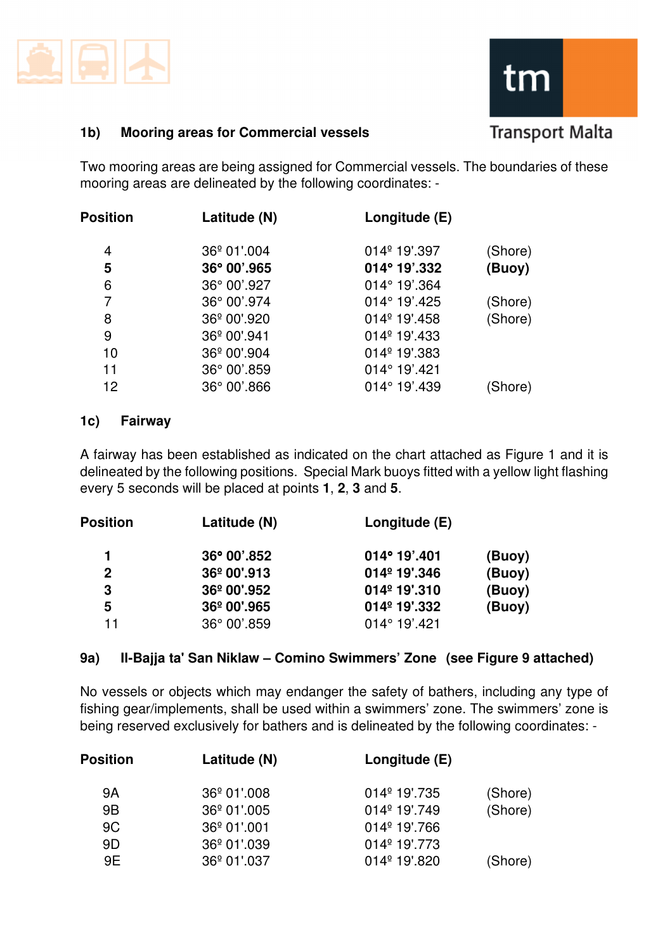



## **1b) Mooring areas for Commercial vessels**

Two mooring areas are being assigned for Commercial vessels. The boundaries of these mooring areas are delineated by the following coordinates: -

| <b>Position</b> | Latitude (N)            | Longitude (E)            |         |
|-----------------|-------------------------|--------------------------|---------|
| 4               | 36 <sup>°</sup> 01'.004 | 014 <sup>°</sup> 19'.397 | (Shore) |
| 5               | 36° 00'.965             | 014° 19'.332             | (Buoy)  |
| 6               | 36° 00'.927             | $014^{\circ}$ 19'.364    |         |
| 7               | 36° 00'.974             | 014° 19'.425             | (Shore) |
| 8               | 36 <sup>°</sup> 00'.920 | 014 <sup>°</sup> 19'.458 | (Shore) |
| 9               | 36 <sup>°</sup> 00'.941 | $014^{\circ}$ 19'.433    |         |
| 10              | 36 <sup>°</sup> 00'.904 | 014 <sup>°</sup> 19'.383 |         |
| 11              | 36° 00'.859             | $014^{\circ} 19'$ .421   |         |
| 12              | 36° 00'.866             | 014° 19'.439             | (Shore) |

## **1c) Fairway**

A fairway has been established as indicated on the chart attached as Figure 1 and it is delineated by the following positions. Special Mark buoys fitted with a yellow light flashing every 5 seconds will be placed at points **1**, **2**, **3** and **5**.

| <b>Position</b> | Latitude (N)         | Longitude (E)            |        |
|-----------------|----------------------|--------------------------|--------|
| 1               | 36° 00'.852          | $014^{\circ}$ 19'.401    | (Buoy) |
| $\mathbf{2}$    | 36º 00',913          | 014 <sup>°</sup> 19',346 | (Buoy) |
| 3               | 36º 00',952          | 014 <sup>°</sup> 19'.310 | (Buoy) |
| 5               | 36º 00'.965          | 014 <sup>°</sup> 19'.332 | (Buoy) |
| 11              | $36^{\circ}$ 00'.859 | $014^{\circ} 19'$ .421   |        |

## **9a) Il-Bajja ta' San Niklaw – Comino Swimmers' Zone (see Figure 9 attached)**

No vessels or objects which may endanger the safety of bathers, including any type of fishing gear/implements, shall be used within a swimmers' zone. The swimmers' zone is being reserved exclusively for bathers and is delineated by the following coordinates: -

| <b>Position</b> | Latitude (N)            | Longitude (E)            |         |
|-----------------|-------------------------|--------------------------|---------|
| 9A              | 36 <sup>°</sup> 01'.008 | $014^{\circ}$ 19'.735    | (Shore) |
| 9 <sub>B</sub>  | 36 <sup>°</sup> 01'.005 | $014^{\circ}$ 19'.749    | (Shore) |
| 9C              | $36^{\circ}$ 01'.001    | 014 <sup>°</sup> 19'.766 |         |
| 9D              | 36 <sup>°</sup> 01'.039 | $014^{\circ}$ 19'.773    |         |
| 9E              | 36 <sup>°</sup> 01'.037 | $014^{\circ}$ 19'.820    | (Shore) |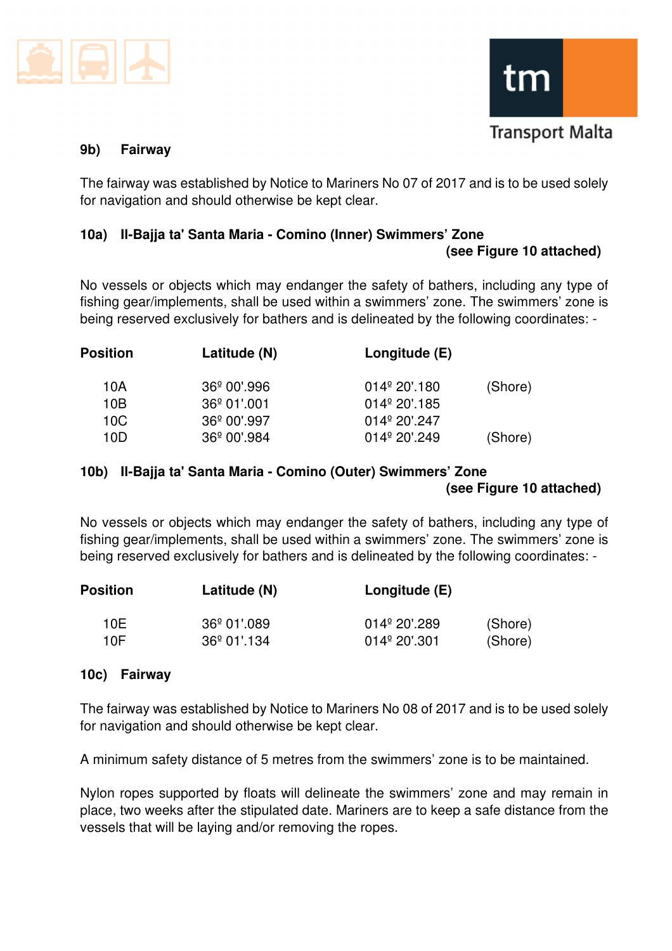



#### **9b) Fairway**

The fairway was established by Notice to Mariners No 07 of 2017 and is to be used solely for navigation and should otherwise be kept clear.

## **10a) Il-Bajja ta' Santa Maria - Comino (Inner) Swimmers' Zone**

#### **(see Figure 10 attached)**

No vessels or objects which may endanger the safety of bathers, including any type of fishing gear/implements, shall be used within a swimmers' zone. The swimmers' zone is being reserved exclusively for bathers and is delineated by the following coordinates: -

| <b>Position</b> | Latitude (N)            | Longitude (E)          |         |
|-----------------|-------------------------|------------------------|---------|
| 10A             | 36 <sup>°</sup> 00'.996 | $014^{\circ} 20'$ .180 | (Shore) |
| 10B             | $36^{\circ}$ 01'.001    | $014^{\circ} 20'$ .185 |         |
| 10C             | 36 <sup>°</sup> 00'.997 | $014^{\circ} 20'$ .247 |         |
| 10D             | 36 <sup>°</sup> 00'.984 | $014^{\circ} 20'$ .249 | (Shore) |

### **10b) Il-Bajja ta' Santa Maria - Comino (Outer) Swimmers' Zone (see Figure 10 attached)**

No vessels or objects which may endanger the safety of bathers, including any type of fishing gear/implements, shall be used within a swimmers' zone. The swimmers' zone is being reserved exclusively for bathers and is delineated by the following coordinates: -

| <b>Position</b> | Latitude (N)         | Longitude (E)          |         |  |
|-----------------|----------------------|------------------------|---------|--|
| 10F             | $36^{\circ}$ 01'.089 | $014^{\circ} 20'.289$  | (Shore) |  |
| 10F             | $36^{\circ}$ 01'.134 | $014^{\circ} 20'$ .301 | (Shore) |  |

### **10c) Fairway**

The fairway was established by Notice to Mariners No 08 of 2017 and is to be used solely for navigation and should otherwise be kept clear.

A minimum safety distance of 5 metres from the swimmers' zone is to be maintained.

Nylon ropes supported by floats will delineate the swimmers' zone and may remain in place, two weeks after the stipulated date. Mariners are to keep a safe distance from the vessels that will be laying and/or removing the ropes.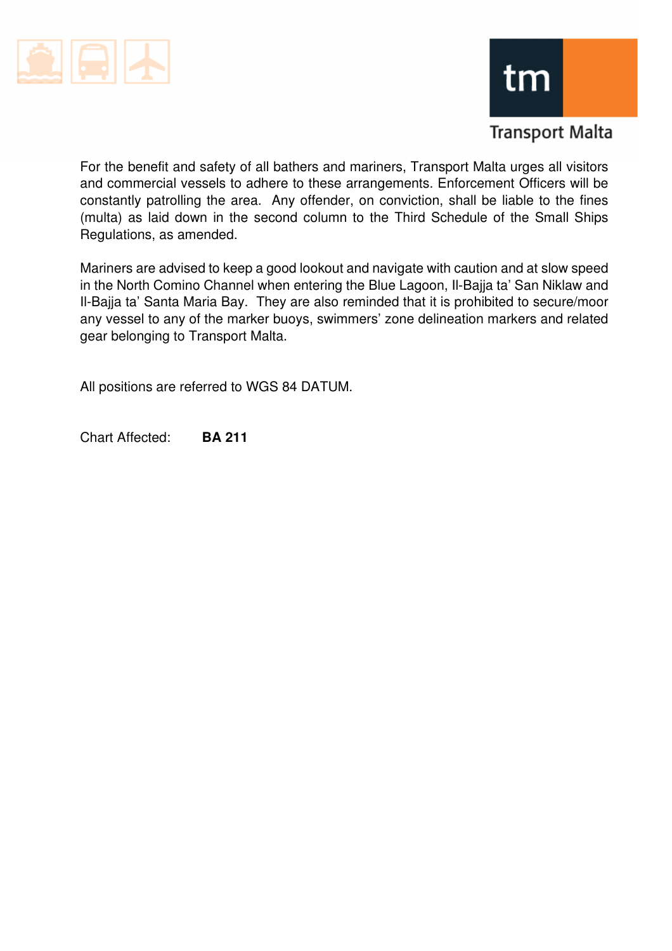



## **Transport Malta**

For the benefit and safety of all bathers and mariners, Transport Malta urges all visitors and commercial vessels to adhere to these arrangements. Enforcement Officers will be constantly patrolling the area. Any offender, on conviction, shall be liable to the fines (multa) as laid down in the second column to the Third Schedule of the Small Ships Regulations, as amended.

Mariners are advised to keep a good lookout and navigate with caution and at slow speed in the North Comino Channel when entering the Blue Lagoon, Il-Bajja ta' San Niklaw and Il-Bajja ta' Santa Maria Bay. They are also reminded that it is prohibited to secure/moor any vessel to any of the marker buoys, swimmers' zone delineation markers and related gear belonging to Transport Malta.

All positions are referred to WGS 84 DATUM.

Chart Affected: **BA 211**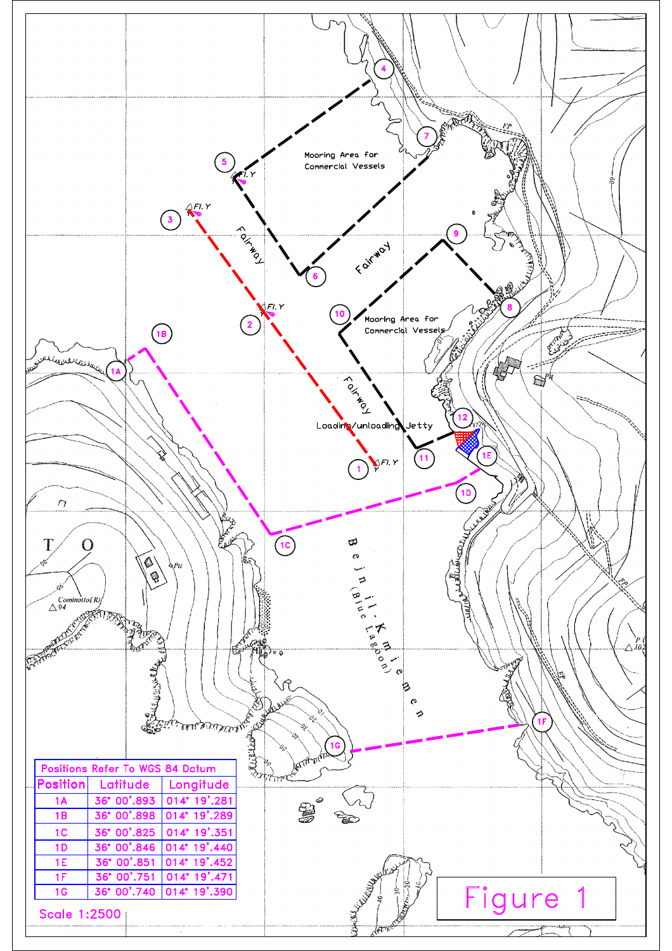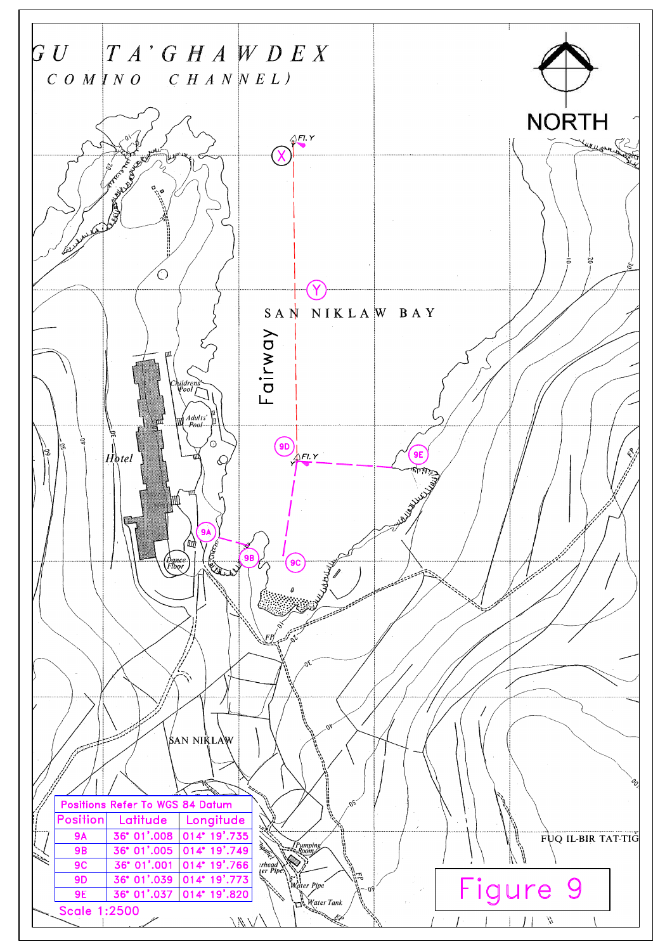